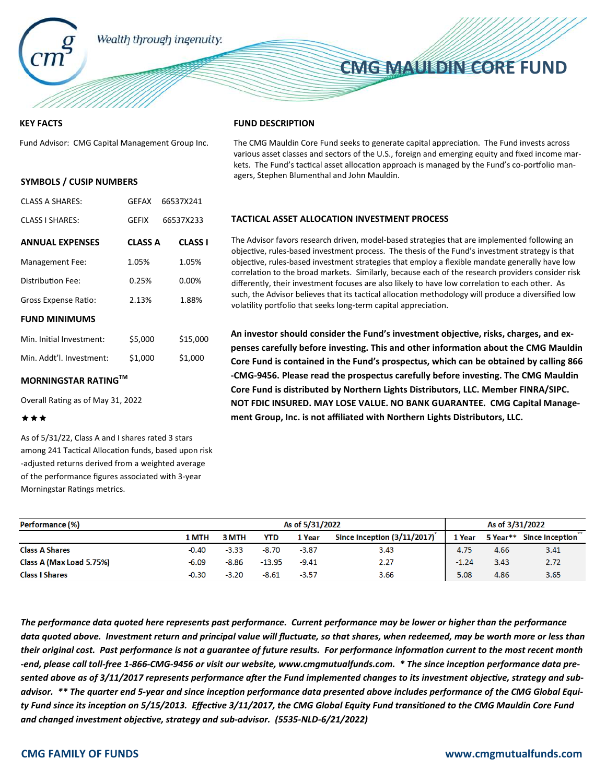

## **COMMUNISTRATION SUPPORTING STATES OF THE UNITED STATES STATES SERVICE STATES SERVICE CORE FUND CMG MAULDIN CORE FUND**

#### **KEY FACTS**

Fund Advisor: CMG Capital Management Group Inc.

#### **SYMBOLS / CUSIP NUMBERS**

| <b>CLASS A SHARES:</b>   | <b>GEFAX</b>   | 66537X241      |
|--------------------------|----------------|----------------|
| <b>CLASS I SHARES:</b>   | <b>GFFIX</b>   | 66537X233      |
| <b>ANNUAL EXPENSES</b>   | <b>CLASS A</b> | <b>CLASS I</b> |
| <b>Management Fee:</b>   | 1.05%          | 1.05%          |
| Distribution Fee:        | 0.25%          | 0.00%          |
| Gross Expense Ratio:     | 2.13%          | 1.88%          |
| <b>FUND MINIMUMS</b>     |                |                |
| Min. Initial Investment: | \$5,000        | \$15,000       |
| Min. Addt'l. Investment: | \$1,000        | \$1,000        |

### **MORNINGSTAR RATINGTM**

Overall Rating as of May 31, 2022

#### \*\*\*

As of 5/31/22, Class A and I shares rated 3 stars among 241 Tactical Allocation funds, based upon risk -adjusted returns derived from a weighted average of the performance figures associated with 3-year Morningstar Ratings metrics.

#### **FUND DESCRIPTION**

The CMG Mauldin Core Fund seeks to generate capital appreciation. The Fund invests across various asset classes and sectors of the U.S., foreign and emerging equity and fixed income markets. The Fund's tactical asset allocation approach is managed by the Fund's co-portfolio managers, Stephen Blumenthal and John Mauldin.

#### **TACTICAL ASSET ALLOCATION INVESTMENT PROCESS**

The Advisor favors research driven, model-based strategies that are implemented following an objective, rules-based investment process. The thesis of the Fund's investment strategy is that objective, rules-based investment strategies that employ a flexible mandate generally have low correlation to the broad markets. Similarly, because each of the research providers consider risk differently, their investment focuses are also likely to have low correlation to each other. As such, the Advisor believes that its tactical allocation methodology will produce a diversified low volatility portfolio that seeks long-term capital appreciation.

An investor should consider the Fund's investment objective, risks, charges, and expenses carefully before investing. This and other information about the CMG Mauldin **Core Fund is contained in the Fund's prospectus, which can be obtained by calling 866** -CMG-9456. Please read the prospectus carefully before investing. The CMG Mauldin **Core Fund is distributed by Northern Lights Distributors, LLC. Member FINRA/SIPC. NOT FDIC INSURED. MAY LOSE VALUE. NO BANK GUARANTEE. CMG Capital Management Group, Inc. is not affiliated with Northern Lights Distributors, LLC.** 

| Performance (%)          | As of 5/31/2022 |         |          |         | As of 3/31/2022             |         |      |                          |
|--------------------------|-----------------|---------|----------|---------|-----------------------------|---------|------|--------------------------|
|                          | 1 MTH           | 3 MTH   | YTD      | 1 Year  | Since Inception (3/11/2017) | 1 Year  |      | 5 Year** Since Inception |
| <b>Class A Shares</b>    | $-0.40$         | $-3.33$ | $-8.70$  | $-3.87$ | 3.43                        | 4.75    | 4.66 | 3,41                     |
| Class A (Max Load 5.75%) | $-6.09$         | $-8.86$ | $-13.95$ | $-9.41$ | 2.27                        | $-1.24$ | 3.43 | 2.72                     |
| <b>Class I Shares</b>    | $-0.30$         | $-3.20$ | $-8.61$  | $-3.57$ | 3.66                        | 5.08    | 4.86 | 3.65                     |

*The performance data quoted here represents past performance. Current performance may be lower or higher than the performance data quoted above. Investment return and principal value will fluctuate, so that shares, when redeemed, may be worth more or less than*  their original cost. Past performance is not a guarantee of future results. For performance information current to the most recent month -end, please call toll-free 1-866-CMG-9456 or visit our website, www.cmgmutualfunds.com. \* The since inception performance data presented above as of 3/11/2017 represents performance after the Fund implemented changes to its investment objective, strategy and subadvisor. \*\* The quarter end 5-year and since inception performance data presented above includes performance of the CMG Global Equity Fund since its inception on 5/15/2013. Effective 3/11/2017, the CMG Global Equity Fund transitioned to the CMG Mauldin Core Fund and changed investment objective, strategy and sub-advisor. (5535-NLD-6/21/2022)